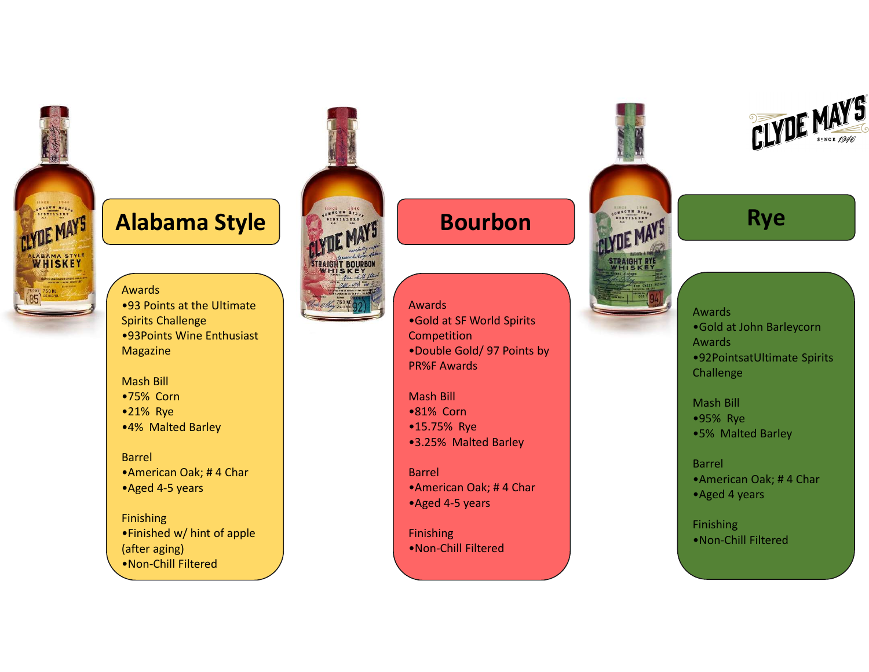

# Alabama Style **Research Bourbon** Rye

#### Awards

•93 Points at the Ultimate Spirits Challenge •93Points Wine Enthusiast Magazine

#### Mash Bill

- •75% Corn
- •21% Rye
- •4% Malted Barley

#### Barrel

- •American Oak; # 4 Char
- •Aged 4-5 years

Finishing •Finished w/ hint of apple (after aging) •Non-Chill Filtered



### Awards •Gold at SF World Spirits Competition •Double Gold/ 97 Points by PR%F Awards

- Mash Bill
- •81% Corn
- •15.75% Rye
- •3.25% Malted Barley

#### Barrel

- •American Oak; # 4 Char
- •Aged 4-5 years

#### Finishing

•Non-Chill Filtered



Awards •Gold at John Barleycorn Awards •92PointsatUltimate Spirits Challenge

Mash Bill •95% Rye •5% Malted Barley

Barrel •American Oak; # 4 Char •Aged 4 years

Finishing •Non-Chill Filtered